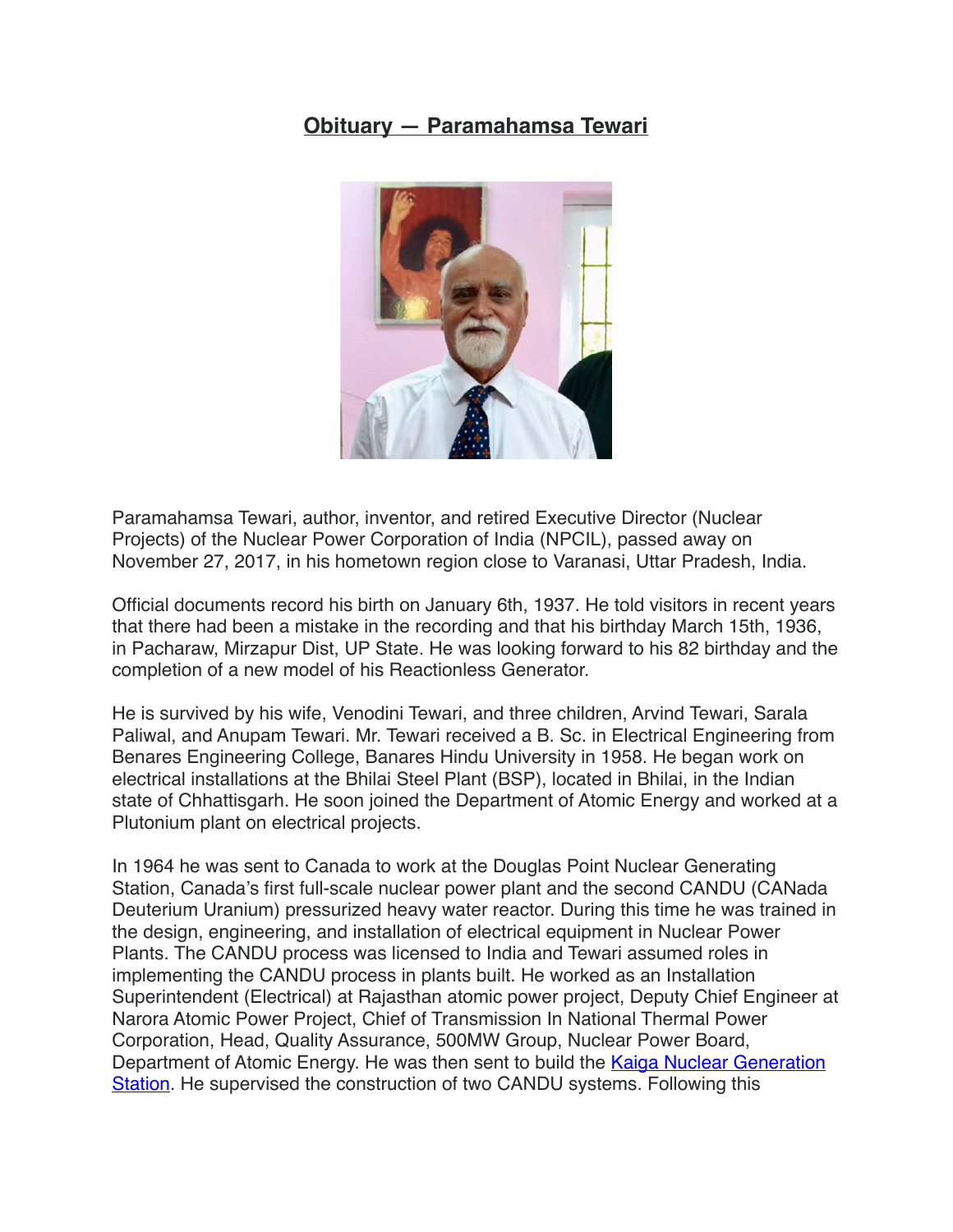## **Obituary — Paramahamsa Tewari**



Paramahamsa Tewari, author, inventor, and retired Executive Director (Nuclear Projects) of the Nuclear Power Corporation of India (NPCIL), passed away on November 27, 2017, in his hometown region close to Varanasi, Uttar Pradesh, India.

Official documents record his birth on January 6th, 1937. He told visitors in recent years that there had been a mistake in the recording and that his birthday March 15th, 1936, in Pacharaw, Mirzapur Dist, UP State. He was looking forward to his 82 birthday and the completion of a new model of his Reactionless Generator.

He is survived by his wife, Venodini Tewari, and three children, Arvind Tewari, Sarala Paliwal, and Anupam Tewari. Mr. Tewari received a B. Sc. in Electrical Engineering from Benares Engineering College, Banares Hindu University in 1958. He began work on electrical installations at the Bhilai Steel Plant (BSP), located in [Bhilai,](https://en.wikipedia.org/wiki/Bhilai) in the Indian state of [Chhattisgarh.](https://en.wikipedia.org/wiki/Chhattisgarh) He soon joined the Department of Atomic Energy and worked at a Plutonium plant on electrical projects.

In 1964 he was sent to Canada to work at the Douglas Point Nuclear Generating Station, Canada's first full-scale [nuclear power plant](https://en.wikipedia.org/wiki/Nuclear_power_plant) and the second [CANDU](https://en.wikipedia.org/wiki/CANDU) (CANada Deuterium Uranium) [pressurized heavy water reactor.](https://en.wikipedia.org/wiki/Pressurised_heavy_water_reactor) During this time he was trained in the design, engineering, and installation of electrical equipment in Nuclear Power Plants. The CANDU process was licensed to India and Tewari assumed roles in implementing the CANDU process in plants built. He worked as an Installation Superintendent (Electrical) at Rajasthan atomic power project, Deputy Chief Engineer at Narora Atomic Power Project, Chief of Transmission In National Thermal Power Corporation, Head, Quality Assurance, 500MW Group, Nuclear Power Board, Department of Atomic Energy. He was then sent to build the Kaiga Nuclear Generation [Station](http://www.npcil.nic.in/main/ProjectOperationDisplay.aspx?ReactorID=76). He supervised the construction of two CANDU systems. Following this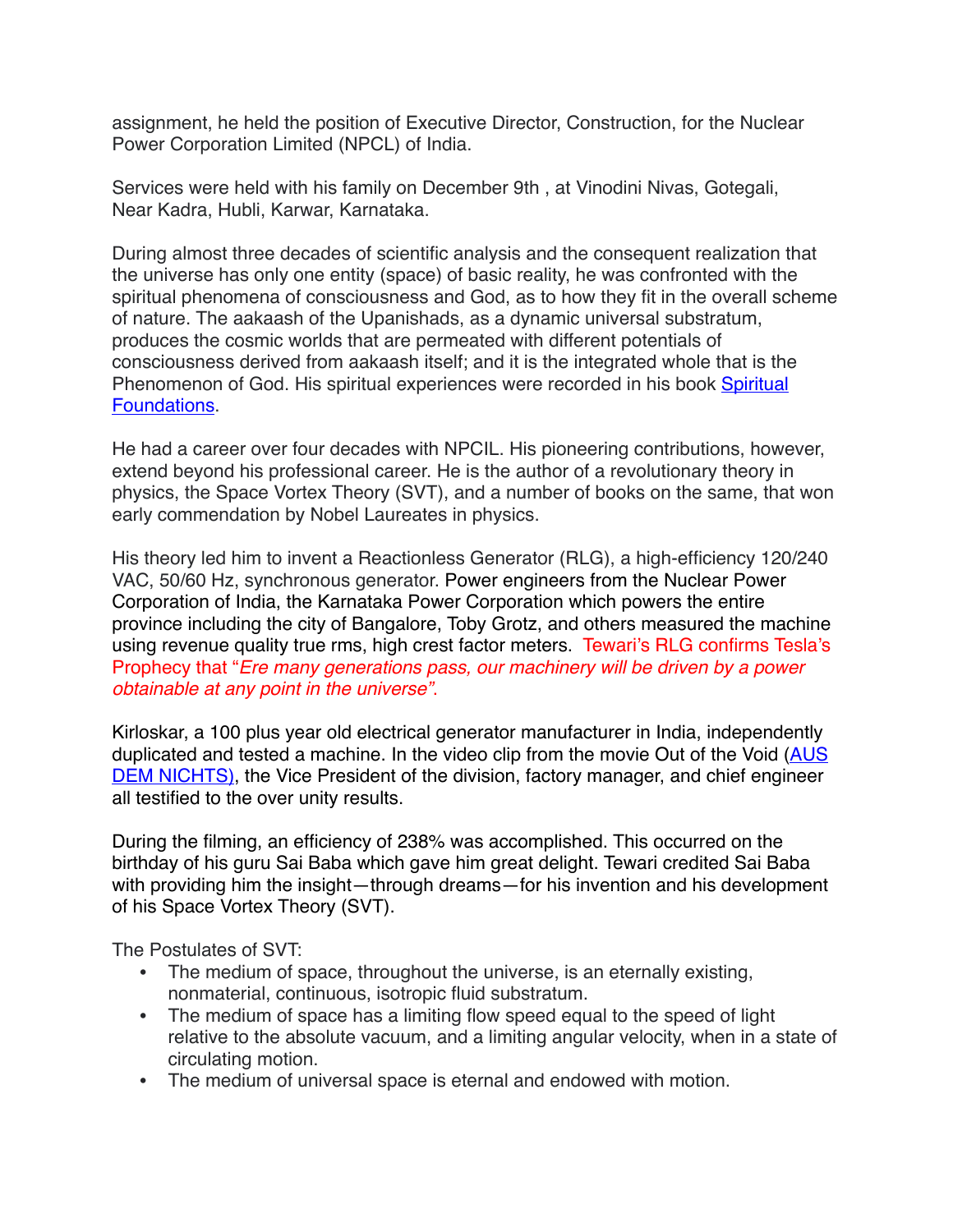assignment, he held the position of Executive Director, Construction, for the Nuclear Power Corporation Limited (NPCL) of India.

Services were held with his family on December 9th , at Vinodini Nivas, Gotegali, Near Kadra, Hubli, Karwar, Karnataka.

During almost three decades of scientific analysis and the consequent realization that the universe has only one entity (space) of basic reality, he was confronted with the spiritual phenomena of consciousness and God, as to how they fit in the overall scheme of nature. The aakaash of the Upanishads, as a dynamic universal substratum, produces the cosmic worlds that are permeated with different potentials of consciousness derived from aakaash itself; and it is the integrated whole that is the Phenomenon of God. His spiritual experiences were recorded in his book Spiritual [Foundations](https://www.dropbox.com/s/73gwhngsgv7i1i5/SF%2520March%25202015.pdf?dl=0).

He had a career over four decades with NPCIL. His pioneering contributions, however, extend beyond his professional career. He is the author of a revolutionary theory in physics, the Space Vortex Theory (SVT), and a number of books on the same, that won early commendation by Nobel Laureates in physics.

His theory led him to invent a Reactionless Generator (RLG), a high-efficiency 120/240 VAC, 50/60 Hz, synchronous generator. Power engineers from the Nuclear Power Corporation of India, the Karnataka Power Corporation which powers the entire province including the city of Bangalore, Toby Grotz, and others measured the machine using revenue quality true rms, high crest factor meters. Tewari's RLG confirms Tesla's Prophecy that "*Ere many generations pass, our machinery will be driven by a power obtainable at any point in the universe"*.

Kirloskar, a 100 plus year old electrical generator manufacturer in India, independently duplicated and tested a machine. In the video clip from the movie Out of the Void ([AUS](https://vimeo.com/190251670)  [DEM NICHTS\)](https://vimeo.com/190251670), the Vice President of the division, factory manager, and chief engineer all testified to the over unity results.

During the filming, an efficiency of 238% was accomplished. This occurred on the birthday of his guru Sai Baba which gave him great delight. Tewari credited Sai Baba with providing him the insight—through dreams—for his invention and his development of his Space Vortex Theory (SVT).

The Postulates of SVT:

- The medium of space, throughout the universe, is an eternally existing, nonmaterial, continuous, isotropic fluid substratum.
- The medium of space has a limiting flow speed equal to the speed of light relative to the absolute vacuum, and a limiting angular velocity, when in a state of circulating motion.
- The medium of universal space is eternal and endowed with motion.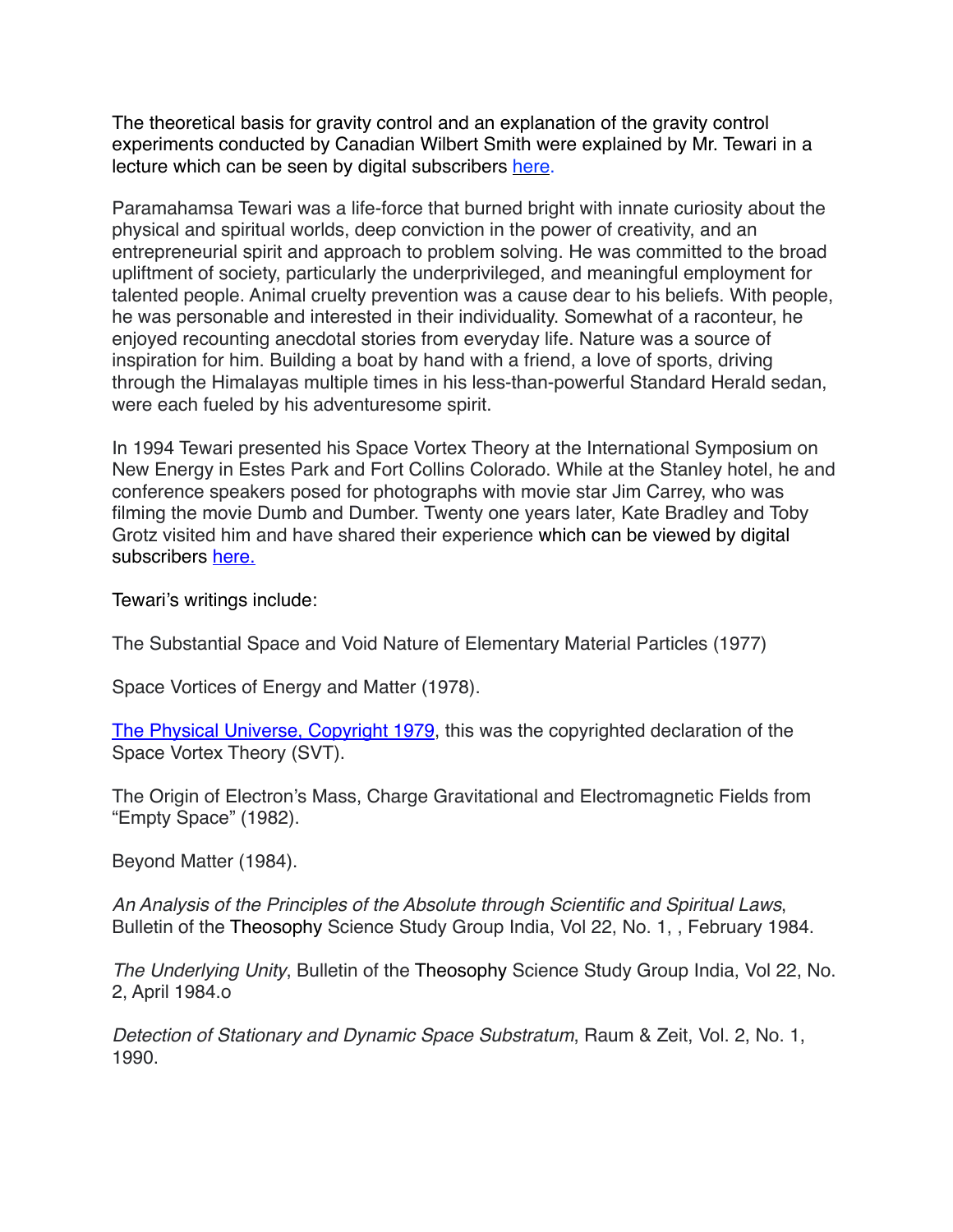The theoretical basis for gravity control and an explanation of the gravity control experiments conducted by Canadian Wilbert Smith were explained by Mr. Tewari in a lecture which can be seen by digital subscribers [here.](https://vimeo.com/161180836)

Paramahamsa Tewari was a life-force that burned bright with innate curiosity about the physical and spiritual worlds, deep conviction in the power of creativity, and an entrepreneurial spirit and approach to problem solving. He was committed to the broad upliftment of society, particularly the underprivileged, and meaningful employment for talented people. Animal cruelty prevention was a cause dear to his beliefs. With people, he was personable and interested in their individuality. Somewhat of a raconteur, he enjoyed recounting anecdotal stories from everyday life. Nature was a source of inspiration for him. Building a boat by hand with a friend, a love of sports, driving through the Himalayas multiple times in his less-than-powerful Standard Herald sedan, were each fueled by his adventuresome spirit.

In 1994 Tewari presented his Space Vortex Theory at the International Symposium on New Energy in Estes Park and Fort Collins Colorado. While at the Stanley hotel, he and conference speakers posed for photographs with movie star Jim Carrey, who was filming the movie Dumb and Dumber. Twenty one years later, Kate Bradley and Toby Grotz visited him and have shared their experience which can be viewed by digital subscribers [here.](https://vimeo.com/123796294)

Tewari's writings include:

The Substantial Space and Void Nature of Elementary Material Particles (1977)

Space Vortices of Energy and Matter (1978).

[The Physical Universe, Copyright 1979](https://www.dropbox.com/s/hli2d6dmcyigacr/%2520%2520THE%2520PHYSICAL%2520UNIVERSE%2520%2520%2520Tewari%2520Copyright%25201979.pdf?dl=0), this was the copyrighted declaration of the Space Vortex Theory (SVT).

The Origin of Electron's Mass, Charge Gravitational and Electromagnetic Fields from "Empty Space" (1982).

Beyond Matter (1984).

*An Analysis of the Principles of the Absolute through Scientific and Spiritual Laws*, Bulletin of the Theosophy Science Study Group India, Vol 22, No. 1, , February 1984.

*The Underlying Unity*, Bulletin of the Theosophy Science Study Group India, Vol 22, No. 2, April 1984.o

*Detection of Stationary and Dynamic Space Substratum*, Raum & Zeit, Vol. 2, No. 1, 1990.